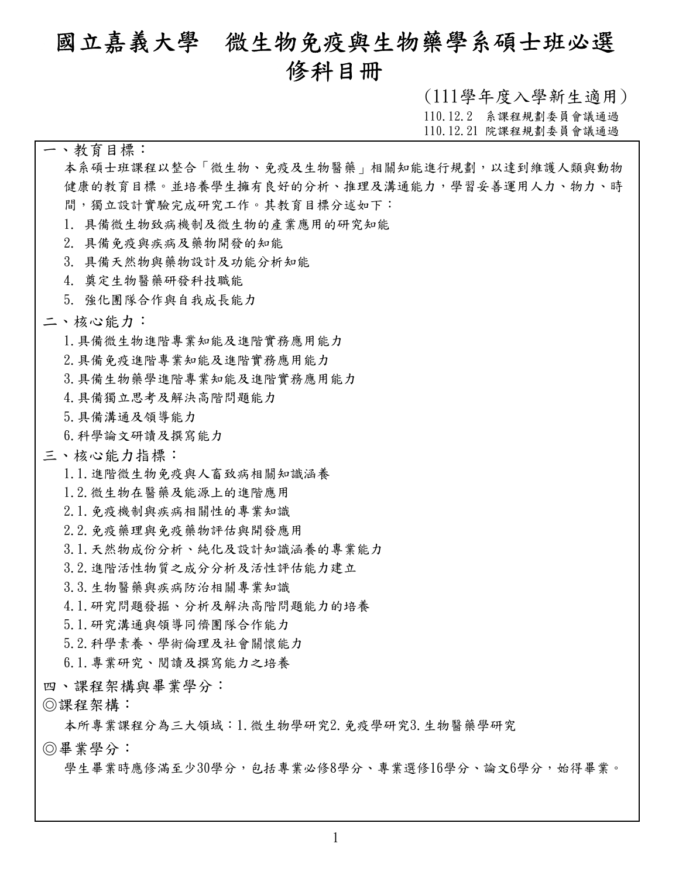# **國立嘉義大學 微生物免疫與生物藥學系碩士班必選 修科目冊**

**(111學年度入學新生適用)**

**110.12.2 系課程規劃委員會議通過**

**110.12.21 院課程規劃委員會議通過**

#### **一、教育目標:**

**本系碩士班課程以整合「微生物、免疫及生物醫藥」相關知能進行規劃,以達到維護人類與動物 健康的教育目標。並培養學生擁有良好的分析、推理及溝通能力,學習妥善運用人力、物力、時 間,獨立設計實驗完成研究工作。其教育目標分述如下:**

**1. 具備微生物致病機制及微生物的產業應用的研究知能**

- **2. 具備免疫與疾病及藥物開發的知能**
- **3. 具備天然物與藥物設計及功能分析知能**
- **4. 奠定生物醫藥研發科技職能**
- **5. 強化團隊合作與自我成長能力**

#### **二、核心能力:**

- **1.具備微生物進階專業知能及進階實務應用能力**
- **2.具備免疫進階專業知能及進階實務應用能力**
- **3.具備生物藥學進階專業知能及進階實務應用能力**
- **4.具備獨立思考及解決高階問題能力**
- **5.具備溝通及領導能力**
- **6.科學論文研讀及撰寫能力**

#### **三、核心能力指標:**

- **1.1.進階微生物免疫與人畜致病相關知識涵養**
- **1.2.微生物在醫藥及能源上的進階應用**
- **2.1.免疫機制與疾病相關性的專業知識**
- **2.2.免疫藥理與免疫藥物評估與開發應用**
- **3.1.天然物成份分析、純化及設計知識涵養的專業能力**
- **3.2.進階活性物質之成分分析及活性評估能力建立**
- **3.3.生物醫藥與疾病防治相關專業知識**
- **4.1.研究問題發掘、分析及解決高階問題能力的培養**
- **5.1.研究溝通與領導同儕團隊合作能力**
- **5.2.科學素養、學術倫理及社會關懷能力**
- **6.1.專業研究、閱讀及撰寫能力之培養**
- 
- 

四丶課程架構與畢業學分:<br>◎課程架構:<br>本所專業課程分為三大領域:1. 微生物學研究2. 免疫學研究3. 生物醫藥學研究

**◎畢業學分:**<br>◎ 學生畢業時應修滿至少30學分,包括專業必修8學分、專業選修16學分、論文6學分,始得畢業。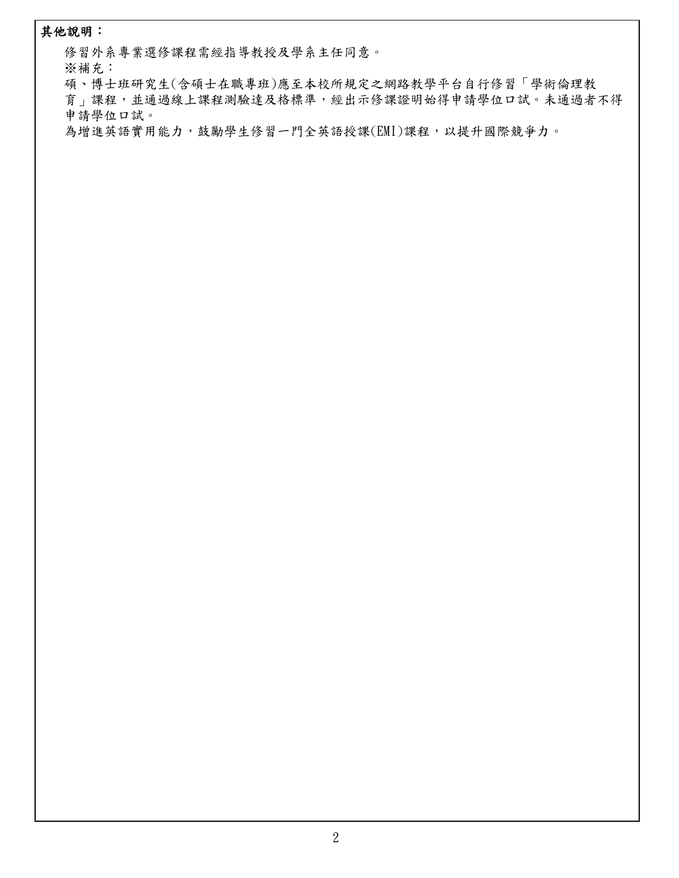#### **其他說明:**

**修習外系專業選修課程需經指導教授及學系主任同意。**

**※補充:**

**碩、博士班研究生(含碩士在職專班)應至本校所規定之網路教學平台自行修習「學術倫理教 育」課程,並通過線上課程測驗達及格標準,經出示修課證明始得申請學位口試。未通過者不得 申請學位口試。**

**為增進英語實用能力,鼓勵學生修習一門全英語授課(EMI)課程,以提升國際競爭力。**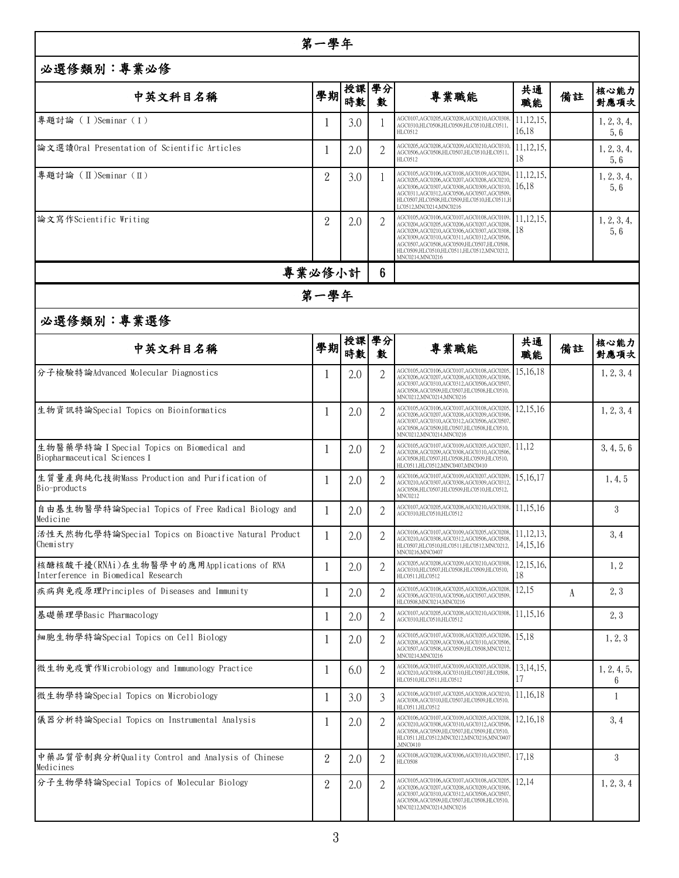|                                                                                 | 第一學年           |         |                |                                                                                                                                                                                                                                                                                       |                             |    |                     |
|---------------------------------------------------------------------------------|----------------|---------|----------------|---------------------------------------------------------------------------------------------------------------------------------------------------------------------------------------------------------------------------------------------------------------------------------------|-----------------------------|----|---------------------|
| 必選修類別:專業必修                                                                      |                |         |                |                                                                                                                                                                                                                                                                                       |                             |    |                     |
| 中英文科目名稱                                                                         |                | 學期 時數 數 |                | 專業職能                                                                                                                                                                                                                                                                                  | 共通<br>職能                    | 備註 | 核心能力<br>對應項次        |
| 專題討論 (I)Seminar (I)                                                             |                | 3.0     |                | AGC0107,AGC0205,AGC0208,AGC0210,AGC0308<br>AGC0310,HLC0508,HLC0509,HLC0510,HLC0511,<br>HLC0512                                                                                                                                                                                        | 11,12,15,<br>16,18          |    | 1, 2, 3, 4,<br>5, 6 |
| 論文選讀Oral Presentation of Scientific Articles                                    |                | 2.0     | 2              | AGC0205,AGC0208,AGC0209,AGC0210,AGC0310<br>AGC0506,AGC0508,HLC0507,HLC0510,HLC0511,<br>HLC0512                                                                                                                                                                                        | 11, 12, 15,<br>18           |    | 1, 2, 3, 4,<br>5, 6 |
| ┃專題討論 (Ⅱ)Seminar (Ⅱ)                                                            | $\overline{2}$ | 3.0     |                | AGC0105,AGC0106,AGC0108,AGC0109,AGC0204<br>AGC0205,AGC0206,AGC0207,AGC0208,AGC0210.<br>AGC0306,AGC0307,AGC0308,AGC0309,AGC0310,<br>AGC0311,AGC0312,AGC0506,AGC0507,AGC0509.<br>HLC0507,HLC0508,HLC0509,HLC0510,HLC0511,H<br>LC0512, MNC0214, MNC0216                                  | 11, 12, 15,<br>16,18        |    | 1, 2, 3, 4,<br>5, 6 |
| 論文寫作Scientific Writing                                                          | $\overline{2}$ | 2.0     |                | AGC0105,AGC0106,AGC0107,AGC0108,AGC0109<br>AGC0204,AGC0205,AGC0206,AGC0207,AGC0208<br>AGC0209,AGC0210,AGC0306,AGC0307,AGC0308.<br>AGC0309,AGC0310,AGC0311,AGC0312,AGC0506<br>AGC0507,AGC0508,AGC0509,HLC0507,HLC0508,<br>HLC0509,HLC0510,HLC0511,HLC0512,MNC0212,<br>MNC0214, MNC0216 | 11, 12, 15,<br>18           |    | 1, 2, 3, 4,<br>5, 6 |
|                                                                                 | 專業必修小計         |         | 6              |                                                                                                                                                                                                                                                                                       |                             |    |                     |
|                                                                                 | 第一學年           |         |                |                                                                                                                                                                                                                                                                                       |                             |    |                     |
| 必選修類別:專業選修                                                                      |                |         |                |                                                                                                                                                                                                                                                                                       |                             |    |                     |
| 中英文科目名稱                                                                         | 學期  路覧         | 授課 學分   | 數              | 專業職能                                                                                                                                                                                                                                                                                  | 共通<br>職能                    | 備註 | 核心能力<br>對應項次        |
| 分子檢驗特論Advanced Molecular Diagnostics                                            |                | 2.0     |                | AGC0105,AGC0106,AGC0107,AGC0108,AGC0205<br>AGC0206,AGC0207,AGC0208,AGC0209,AGC0306<br>AGC0307,AGC0310,AGC0312,AGC0506,AGC0507<br>AGC0508,AGC0509,HLC0507,HLC0508,HLC0510,<br>MNC0212, MNC0214, MNC0216                                                                                | 15,16,18                    |    | 1, 2, 3, 4          |
| 生物資訊特論Special Topics on Bioinformatics                                          |                | 2.0     |                | AGC0105,AGC0106,AGC0107,AGC0108,AGC0205<br>AGC0206,AGC0207,AGC0208,AGC0209,AGC0306<br>AGC0307,AGC0310,AGC0312,AGC0506,AGC0507<br>AGC0508,AGC0509,HLC0507,HLC0508,HLC0510,<br>MNC0212, MNC0214, MNC0216                                                                                | 12,15,16                    |    | 1, 2, 3, 4          |
| 生物醫藥學特論 I Special Topics on Biomedical and<br>Biopharmaceutical Sciences I      |                | 2.0     | 2              | AGC0105,AGC0107,AGC0109,AGC0205,AGC0207<br>AGC0208,AGC0209,AGC0308,AGC0310,AGC0506<br>AGC0508,HLC0507,HLC0508,HLC0509,HLC0510,<br>HLC0511,HLC0512,MNC0407,MNC0410                                                                                                                     | 11,12                       |    | 3, 4, 5, 6          |
| 生質量產與純化技術Mass Production and Purification of<br>Bio-products                    |                | 2.0     |                | AGC0106,AGC0107,AGC0109,AGC0207,AGC0209<br>AGC0210,AGC0307,AGC0308,AGC0309,AGC0312<br>AGC0508,HLC0507,HLC0509,HLC0510,HLC0512,<br>MNC0212                                                                                                                                             | 15,16,17                    |    | 1, 4, 5             |
| 自由基生物醫學特論Special Topics of Free Radical Biology and<br>Medicine                 |                | 2.0     |                | AGC0107,AGC0205,AGC0208,AGC0210,AGC0308,<br>AGC0310,HLC0510,HLC0512                                                                                                                                                                                                                   | 11,15,16                    |    | 3                   |
| 活性天然物化學特論Special Topics on Bioactive Natural Product<br>Chemistry               |                | 2.0     | 2              | AGC0106,AGC0107,AGC0109,AGC0205,AGC0208,<br>AGC0210,AGC0308,AGC0312,AGC0506,AGC0508<br>HLC0507,HLC0510,HLC0511,HLC0512,MNC0212,<br>MNC0216, MNC0407                                                                                                                                   | 11, 12, 13.<br>[14, 15, 16] |    | 3, 4                |
| 核醣核酸干擾(RNAi)在生物醫學中的應用Applications of RNA<br>Interference in Biomedical Research |                | 2.0     | 2              | AGC0205,AGC0208,AGC0209,AGC0210,AGC0308<br>AGC0310,HLC0507,HLC0508,HLC0509,HLC0510,<br>HLC0511.HLC0512                                                                                                                                                                                | 12,15,16,<br>18             |    | 1, 2                |
| 疾病與免疫原理Principles of Diseases and Immunity                                      |                | 2.0     | 2              | AGC0105,AGC0108,AGC0205,AGC0206,AGC0208<br>AGC0306,AGC0310,AGC0506,AGC0507,AGC0509<br>HLC0508, MNC0214, MNC0216                                                                                                                                                                       | 12,15                       | A  | 2, 3                |
| 基礎藥理學Basic Pharmacology                                                         |                | 2.0     | 2              | AGC0107,AGC0205,AGC0208,AGC0210,AGC0308.<br>AGC0310.HLC0510.HLC0512                                                                                                                                                                                                                   | 11,15,16                    |    | 2, 3                |
| 細胞生物學特論Special Topics on Cell Biology                                           |                | 2.0     | 2              | AGC0105,AGC0107,AGC0108,AGC0205,AGC0206,<br>AGC0208,AGC0209,AGC0306,AGC0310,AGC0506<br>AGC0507,AGC0508,AGC0509,HLC0508,MNC0212<br>MNC0214, MNC0216                                                                                                                                    | 15,18                       |    | 1, 2, 3             |
| 微生物免疫實作Microbiology and Immunology Practice                                     |                | 6.0     | 2              | AGC0106,AGC0107,AGC0109,AGC0205,AGC0208<br>AGC0210,AGC0308,AGC0310,HLC0507,HLC0508,<br>HLC0510,HLC0511,HLC0512                                                                                                                                                                        | 13, 14, 15,                 |    | 1, 2, 4, 5,<br>6    |
| 微生物學特論Special Topics on Microbiology                                            |                | 3.0     | 3              | AGC0106,AGC0107,AGC0205,AGC0208,AGC0210<br>AGC0308,AGC0310,HLC0507,HLC0509,HLC0510,<br>HLC0511,HLC0512                                                                                                                                                                                | 11,16,18                    |    | 1                   |
| 儀器分析特論Special Topics on Instrumental Analysis                                   |                | 2.0     | 2              | AGC0106,AGC0107,AGC0109,AGC0205,AGC0208,<br>AGC0210,AGC0308,AGC0310,AGC0312,AGC0506<br>AGC0508,AGC0509,HLC0507,HLC0509,HLC0510,<br>HLC0511,HLC0512,MNC0212,MNC0216,MNC0407<br><b>MNC0410</b>                                                                                          | 12,16,18                    |    | 3, 4                |
| ┃中藥品質管制與分析Quality Control and Analysis of Chinese<br>Medicines                  | $\overline{2}$ | 2.0     | $\overline{2}$ | AGC0108,AGC0208,AGC0306,AGC0310,AGC0507,<br><b>HLC0508</b>                                                                                                                                                                                                                            | 17,18                       |    | 3                   |
| ┃分子生物學特論Special Topics of Molecular Biology                                     | $\overline{2}$ | 2.0     | 2              | AGC0105,AGC0106,AGC0107,AGC0108,AGC0205<br>AGC0206,AGC0207,AGC0208,AGC0209,AGC0306<br>AGC0307,AGC0310,AGC0312,AGC0506,AGC0507<br>AGC0508,AGC0509,HLC0507,HLC0508,HLC0510,<br>MNC0212,MNC0214,MNC0216                                                                                  | 12,14                       |    | 1, 2, 3, 4          |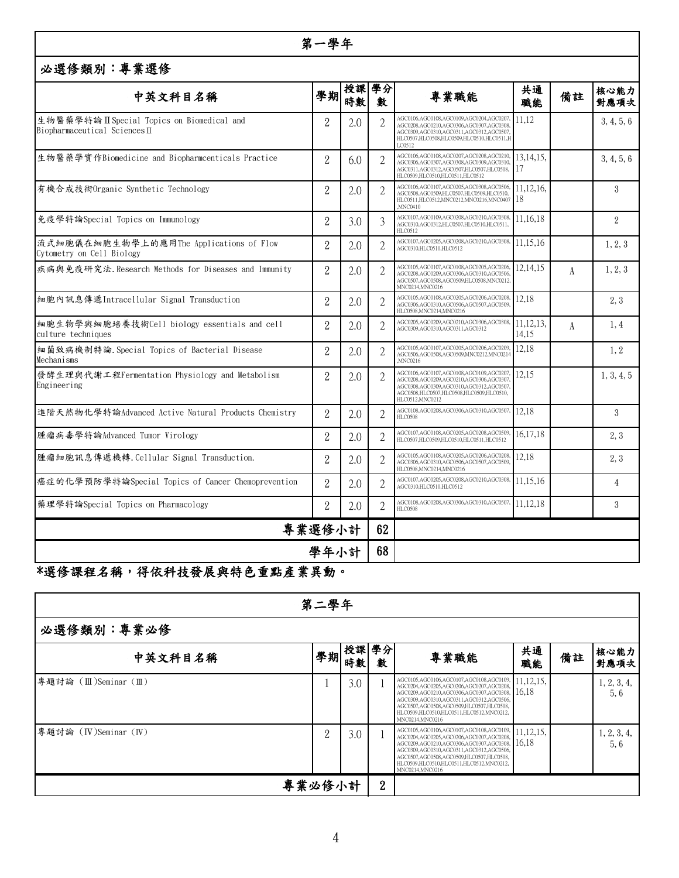#### **第一學年**

### **必選修類別:專業選修**

| 中英文科目名稱                                                                   | 學期             | 授課 學分<br>時數 | 數              | 專業職能                                                                                                                                                                                          | 共通<br>職能             | 備註 | 核心能力<br>對應項次   |
|---------------------------------------------------------------------------|----------------|-------------|----------------|-----------------------------------------------------------------------------------------------------------------------------------------------------------------------------------------------|----------------------|----|----------------|
| 生物醫藥學特論ⅡSpecial Topics on Biomedical and<br>Biopharmaceutical Sciences II | $\mathbf{2}$   | 2.0         |                | AGC0106,AGC0108,AGC0109,AGC0204,AGC0207<br>AGC0208,AGC0210,AGC0306,AGC0307,AGC0308<br>AGC0309,AGC0310,AGC0311,AGC0312,AGC0507<br>HLC0507,HLC0508,HLC0509,HLC0510,HLC0511,F<br>LC0512          | 11.12                |    | 3, 4, 5, 6     |
| 生物醫藥學實作Biomedicine and Biopharmcenticals Practice                         | $\overline{2}$ | 6.0         | $\overline{2}$ | AGC0106,AGC0108,AGC0207,AGC0208,AGC0210<br>AGC0306.AGC0307.AGC0308.AGC0309.AGC0310<br>AGC0311,AGC0312,AGC0507,HLC0507,HLC0508,<br>HLC0509,HLC0510,HLC0511,HLC0512                             | 13,14,15,<br>17      |    | 3, 4, 5, 6     |
| 有機合成技術Organic Synthetic Technology                                        | $\overline{2}$ | 2.0         | 2              | AGC0106,AGC0107,AGC0205,AGC0308,AGC0506<br>AGC0508,AGC0509,HLC0507,HLC0509,HLC0510,<br>HLC0511,HLC0512,MNC0212,MNC0216,MNC0407 18<br>.MNC0410                                                 | 11,12,16,            |    | 3              |
| ┃免疫學特論Special Topics on Immunology                                        | $\overline{2}$ | 3.0         | 3              | AGC0107,AGC0109,AGC0208,AGC0210,AGC0308,<br>AGC0310.AGC0312.HLC0507.HLC0510.HLC0511.<br>HLC0512                                                                                               | 11,16,18             |    | 2              |
| 流式細胞儀在細胞生物學上的應用The Applications of Flow<br>Cytometry on Cell Biology      | $\overline{2}$ | 2.0         | $\overline{2}$ | AGC0107,AGC0205,AGC0208,AGC0210,AGC0308,<br>AGC0310.HLC0510.HLC0512                                                                                                                           | 11,15,16             |    | 1, 2, 3        |
| 疾病與免疫研究法. Research Methods for Diseases and Immunity                      | $\overline{2}$ | 2.0         | $\overline{2}$ | AGC0105,AGC0107,AGC0108,AGC0205,AGC0206<br>AGC0208.AGC0209.AGC0306.AGC0310.AGC0506<br>AGC0507,AGC0508,AGC0509,HLC0508.MNC0212<br>MNC0214, MNC0216                                             | 12,14,15             | A  | 1, 2, 3        |
| 細胞內訊息傳遞Intracellular Signal Transduction                                  | $\overline{2}$ | 2.0         |                | AGC0105,AGC0108,AGC0205,AGC0206,AGC0208,<br>AGC0306,AGC0310,AGC0506,AGC0507,AGC0509<br>HLC0508, MNC0214, MNC0216                                                                              | 12.18                |    | 2, 3           |
| 細胞生物學與細胞培養技術Cell biology essentials and cell<br>culture techniques        | $\overline{2}$ | 2.0         | 2              | AGC0205.AGC0209.AGC0210.AGC0306.AGC0308<br>AGC0309.AGC0310.AGC0311.AGC0312                                                                                                                    | 11, 12, 13,<br>14.15 | A  | 1,4            |
| 細菌致病機制特論.Special Topics of Bacterial Disease<br>Mechanisms                | $\overline{2}$ | 2.0         | $\mathbf{2}$   | AGC0105,AGC0107,AGC0205,AGC0206,AGC0209<br>AGC0506,AGC0508,AGC0509,MNC0212,MNC0214<br>.MNC0216                                                                                                | 12,18                |    | 1, 2           |
| 發酵生理與代謝工程Fermentation Physiology and Metabolism<br>Engineering            | $\overline{2}$ | 2.0         |                | AGC0106,AGC0107,AGC0108,AGC0109,AGC0207<br>AGC0208,AGC0209,AGC0210,AGC0306,AGC0307<br>AGC0308,AGC0309,AGC0310,AGC0312,AGC0507<br>AGC0508.HLC0507.HLC0508.HLC0509.HLC0510.<br>HLC0512, MNC0212 | 12.15                |    | 1, 3, 4, 5     |
| 進階天然物化學特論Advanced Active Natural Products Chemistry                       | $\overline{2}$ | 2.0         | $\overline{2}$ | AGC0108,AGC0208,AGC0306,AGC0310,AGC0507,<br><b>HLC0508</b>                                                                                                                                    | 12.18                |    | 3              |
| 腫瘤病毒學特論Advanced Tumor Virology                                            | $\overline{2}$ | 2.0         | 2              | AGC0107,AGC0108,AGC0205,AGC0208,AGC0509<br>HLC0507.HLC0509.HLC0510.HLC0511.HLC0512                                                                                                            | 16,17,18             |    | 2, 3           |
| 腫瘤細胞訊息傳遞機轉. Cellular Signal Transduction.                                 | $\overline{2}$ | 2.0         | 2              | AGC0105,AGC0108,AGC0205,AGC0206,AGC0208<br>AGC0306,AGC0310,AGC0506,AGC0507,AGC0509<br>HLC0508,MNC0214,MNC0216                                                                                 | 12.18                |    | 2, 3           |
| 癌症的化學預防學特論Special Topics of Cancer Chemoprevention                        | $\overline{2}$ | 2.0         | 2              | AGC0107.AGC0205.AGC0208.AGC0210.AGC0308.<br>AGC0310.HLC0510.HLC0512                                                                                                                           | 11,15,16             |    | $\overline{4}$ |
| 藥理學特論Special Topics on Pharmacology                                       | $\overline{2}$ | 2.0         | 2              | AGC0108,AGC0208,AGC0306,AGC0310,AGC0507<br><b>HLC0508</b>                                                                                                                                     | 11,12,18             |    | 3              |
| 專業選修小計                                                                    |                |             |                |                                                                                                                                                                                               |                      |    |                |
| 學年小計                                                                      | 68             |             |                |                                                                                                                                                                                               |                      |    |                |

## **\*選修課程名稱,得依科技發展與特色重點產業異動。<sup>68</sup>**

| 第二學年                |        |     |                |                                                                                                                                                                                                                                                                                                            |                      |    |                    |  |  |
|---------------------|--------|-----|----------------|------------------------------------------------------------------------------------------------------------------------------------------------------------------------------------------------------------------------------------------------------------------------------------------------------------|----------------------|----|--------------------|--|--|
| 必選修類別:專業必修          |        |     |                |                                                                                                                                                                                                                                                                                                            |                      |    |                    |  |  |
| 中英文科目名稱             |        |     |                | 專業職能                                                                                                                                                                                                                                                                                                       | 共通<br>職能             | 備註 | 核心能力<br>對應項次       |  |  |
| 專題討論 (Ⅲ)Seminar (Ⅲ) |        | 3.0 |                | ${\bf AGC0105, AGC0106, AGC0107, AGC0108, AGC0109,} {\bf AGC0204, AGC0205, AGC0206, AGC0207, AGC0208,}$<br>AGC0209,AGC0210,AGC0306,AGC0307,AGC0308,<br>AGC0309,AGC0310,AGC0311,AGC0312,AGC0506,<br>AGC0507,AGC0508,AGC0509,HLC0507,HLC0508,<br>HLC0509,HLC0510,HLC0511,HLC0512,MNC0212,<br>MNC0214.MNC0216 | 11, 12, 15,<br>16,18 |    | 1, 2, 3, 4,<br>5.6 |  |  |
| 專題討論 (Ⅳ)Seminar (Ⅳ) | 2      | 3.0 |                | AGC0105,AGC0106,AGC0107,AGC0108,AGC0109, 11,12,15,<br>AGC0204,AGC0205,AGC0206,AGC0207,AGC0208,<br>AGC0209,AGC0210,AGC0306,AGC0307,AGC0308,<br>AGC0309,AGC0310,AGC0311,AGC0312,AGC0506,<br>AGC0507,AGC0508,AGC0509,HLC0507,HLC0508,<br>HLC0509,HLC0510,HLC0511,HLC0512,MNC0212,<br>MNC0214, MNC0216         | 16.18                |    | 1, 2, 3, 4,<br>5.6 |  |  |
|                     | 專業必修小計 |     | $\overline{2}$ |                                                                                                                                                                                                                                                                                                            |                      |    |                    |  |  |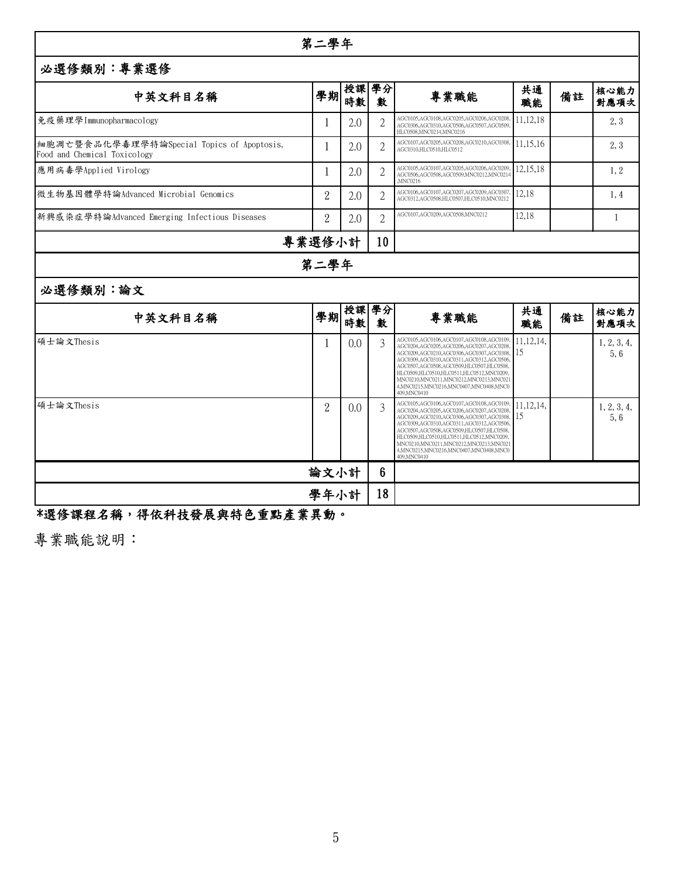| 第二學年                                                                       |                |                   |                |                                                                                                                                                                                                                                                                                                                                                                                 |                   |    |                     |  |  |
|----------------------------------------------------------------------------|----------------|-------------------|----------------|---------------------------------------------------------------------------------------------------------------------------------------------------------------------------------------------------------------------------------------------------------------------------------------------------------------------------------------------------------------------------------|-------------------|----|---------------------|--|--|
| 必選修類別:專業選修                                                                 |                |                   |                |                                                                                                                                                                                                                                                                                                                                                                                 |                   |    |                     |  |  |
| 中英文科目名稱                                                                    | 學期             | 授課  學分 <br> 時數  數 |                | 專業職能                                                                                                                                                                                                                                                                                                                                                                            | 共通<br>職能          | 備註 | 核心能力<br>對應項次        |  |  |
| 免疫藥理學Immunopharmacology                                                    |                | 2.0               | $\mathbf{2}$   | AGC0105,AGC0108,AGC0205,AGC0206,AGC0208,<br>AGC0306,AGC0310,AGC0506,AGC0507,AGC0509<br>HLC0508, MNC0214, MNC0216                                                                                                                                                                                                                                                                | 11,12,18          |    | 2, 3                |  |  |
| 細胞凋亡暨食品化學毒理學特論Special Topics of Apoptosis,<br>Food and Chemical Toxicology | -1             | 2.0               | 2              | AGC0107,AGC0205,AGC0208,AGC0210,AGC0308,<br>AGC0310,HLC0510,HLC0512                                                                                                                                                                                                                                                                                                             | 11,15,16          |    | 2, 3                |  |  |
| 應用病毒學Applied Virology                                                      |                | 2.0               | 2              | AGC0105,AGC0107,AGC0205,AGC0206,AGC0209,<br>AGC0506.AGC0508.AGC0509.MNC0212.MNC0214<br>.MNC0216                                                                                                                                                                                                                                                                                 | 12,15,18          |    | 1, 2                |  |  |
| 微生物基因體學特論Advanced Microbial Genomics                                       | $\mathbf{2}$   | 2.0               | 2              | AGC0106,AGC0107,AGC0207,AGC0209,AGC0307<br>AGC0312,AGC0508,HLC0507,HLC0510,MNC0212                                                                                                                                                                                                                                                                                              | 12,18             |    | 1, 4                |  |  |
| 新興感染症學特論Advanced Emerging Infectious Diseases                              | $\overline{2}$ | 2.0               | $\overline{2}$ | AGC0107,AGC0209,AGC0508,MNC0212                                                                                                                                                                                                                                                                                                                                                 | 12,18             |    | -1                  |  |  |
|                                                                            | 專業選修小計         |                   | 10             |                                                                                                                                                                                                                                                                                                                                                                                 |                   |    |                     |  |  |
|                                                                            | 第二學年           |                   |                |                                                                                                                                                                                                                                                                                                                                                                                 |                   |    |                     |  |  |
| 必選修類別:論文                                                                   |                |                   |                |                                                                                                                                                                                                                                                                                                                                                                                 |                   |    |                     |  |  |
| 中英文科目名稱                                                                    |                | 學期 時數 數           |                | 專業職能                                                                                                                                                                                                                                                                                                                                                                            | 共通<br>職能          | 備註 | 核心能力<br>對應項次        |  |  |
| 碩士論文Thesis                                                                 |                | 0.0               | 3              | AGC0105,AGC0106,AGC0107,AGC0108,AGC0109<br>AGC0204,AGC0205,AGC0206,AGC0207,AGC0208<br>AGC0209,AGC0210,AGC0306,AGC0307,AGC0308,<br>AGC0309,AGC0310,AGC0311,AGC0312,AGC0506<br>AGC0507,AGC0508,AGC0509,HLC0507,HLC0508,<br>HLC0509,HLC0510,HLC0511,HLC0512,MNC0209,<br>MNC0210,MNC0211,MNC0212,MNC0213,MNC021<br>4.MNC0215.MNC0216.MNC0407.MNC0408.MNC0<br>409, MNC0410           | 11, 12, 14,<br>15 |    | 1, 2, 3, 4,<br>5, 6 |  |  |
| 碩士論文Thesis                                                                 | $\overline{2}$ | 0.0               | 3              | AGC0105,AGC0106,AGC0107,AGC0108,AGC0109<br>AGC0204,AGC0205,AGC0206,AGC0207,AGC0208<br>AGC0209,AGC0210,AGC0306,AGC0307,AGC0308,<br>AGC0309,AGC0310,AGC0311,AGC0312,AGC0506.<br>AGC0507,AGC0508,AGC0509,HLC0507,HLC0508,<br>HLC0509,HLC0510,HLC0511,HLC0512,MNC0209,<br>MNC0210, MNC0211, MNC0212, MNC0213, MNC021<br>4, MNC0215, MNC0216, MNC0407, MNC0408, MNC0<br>409, MNC0410 | 11, 12, 14,<br>15 |    | 1, 2, 3, 4,<br>5,6  |  |  |
|                                                                            | 論文小計           |                   | $6\phantom{.}$ |                                                                                                                                                                                                                                                                                                                                                                                 |                   |    |                     |  |  |
| 學年小計                                                                       |                |                   |                |                                                                                                                                                                                                                                                                                                                                                                                 |                   |    |                     |  |  |

## **\*選修課程名稱,得依科技發展與特色重點產業異動。<sup>18</sup>**

**專業職能說明:**